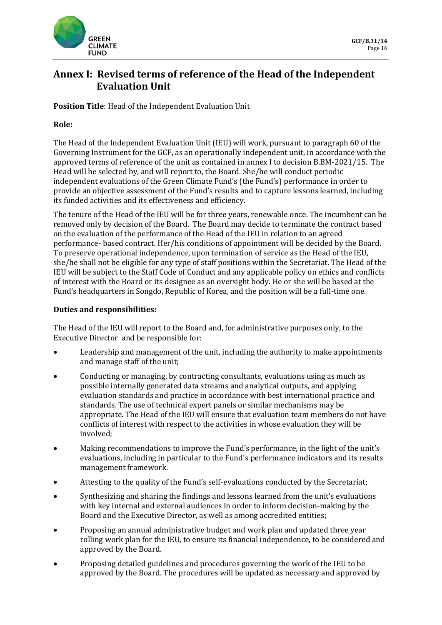

# **Annex I: Revised terms of reference of the Head of the Independent Evaluation Unit**

**Position Title**: Head of the Independent Evaluation Unit

## **Role:**

The Head of the Independent Evaluation Unit (IEU) will work, pursuant to paragraph 60 of the Governing Instrument for the GCF, as an operationally independent unit, in accordance with the approved terms of reference of the unit as contained in annex I to decision B.BM-2021/15. The Head will be selected by, and will report to, the Board. She/he will conduct periodic independent evaluations of the Green Climate Fund's (the Fund's) performance in order to provide an objective assessment of the Fund's results and to capture lessons learned, including its funded activities and its effectiveness and efficiency.

The tenure of the Head of the IEU will be for three years, renewable once. The incumbent can be removed only by decision of the Board. The Board may decide to terminate the contract based on the evaluation of the performance of the Head of the IEU in relation to an agreed performance- based contract. Her/his conditions of appointment will be decided by the Board. To preserve operational independence, upon termination of service as the Head of the IEU, she/he shall not be eligible for any type of staff positions within the Secretariat. The Head of the IEU will be subject to the Staff Code of Conduct and any applicable policy on ethics and conflicts of interest with the Board or its designee as an oversight body. He or she will be based at the Fund's headquarters in Songdo, Republic of Korea, and the position will be a full-time one.

### **Duties and responsibilities:**

The Head of the IEU will report to the Board and, for administrative purposes only, to the Executive Director and be responsible for:

- Leadership and management of the unit, including the authority to make appointments and manage staff of the unit;
- Conducting or managing, by contracting consultants, evaluations using as much as possible internally generated data streams and analytical outputs, and applying evaluation standards and practice in accordance with best international practice and standards. The use of technical expert panels or similar mechanisms may be appropriate. The Head of the IEU will ensure that evaluation team members do not have conflicts of interest with respect to the activities in whose evaluation they will be involved;
- Making recommendations to improve the Fund's performance, in the light of the unit's evaluations, including in particular to the Fund's performance indicators and its results management framework.
- Attesting to the quality of the Fund's self-evaluations conducted by the Secretariat;
- Synthesizing and sharing the findings and lessons learned from the unit's evaluations with key internal and external audiences in order to inform decision-making by the Board and the Executive Director, as well as among accredited entities;
- Proposing an annual administrative budget and work plan and updated three year rolling work plan for the IEU, to ensure its financial independence, to be considered and approved by the Board.
- Proposing detailed guidelines and procedures governing the work of the IEU to be approved by the Board. The procedures will be updated as necessary and approved by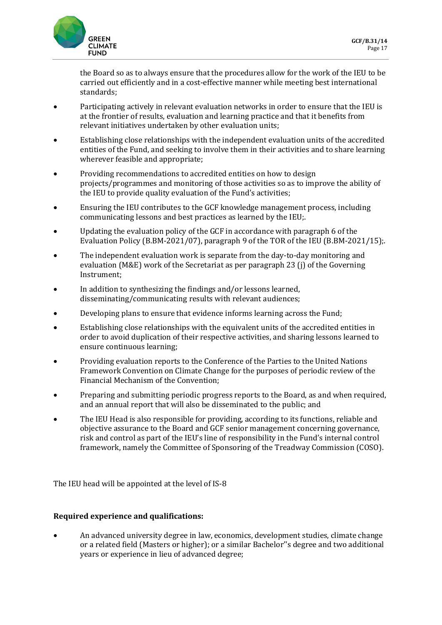

the Board so as to always ensure that the procedures allow for the work of the IEU to be carried out efficiently and in a cost-effective manner while meeting best international standards;

- Participating actively in relevant evaluation networks in order to ensure that the IEU is at the frontier of results, evaluation and learning practice and that it benefits from relevant initiatives undertaken by other evaluation units;
- Establishing close relationships with the independent evaluation units of the accredited entities of the Fund, and seeking to involve them in their activities and to share learning wherever feasible and appropriate;
- Providing recommendations to accredited entities on how to design projects/programmes and monitoring of those activities so as to improve the ability of the IEU to provide quality evaluation of the Fund's activities;
- Ensuring the IEU contributes to the GCF knowledge management process, including communicating lessons and best practices as learned by the IEU;.
- Updating the evaluation policy of the GCF in accordance with paragraph 6 of the Evaluation Policy (B.BM-2021/07), paragraph 9 of the TOR of the IEU (B.BM-2021/15);.
- The independent evaluation work is separate from the day-to-day monitoring and evaluation (M&E) work of the Secretariat as per paragraph 23 (j) of the Governing Instrument;
- In addition to synthesizing the findings and/or lessons learned, disseminating/communicating results with relevant audiences;
- Developing plans to ensure that evidence informs learning across the Fund;
- Establishing close relationships with the equivalent units of the accredited entities in order to avoid duplication of their respective activities, and sharing lessons learned to ensure continuous learning;
- Providing evaluation reports to the Conference of the Parties to the United Nations Framework Convention on Climate Change for the purposes of periodic review of the Financial Mechanism of the Convention;
- Preparing and submitting periodic progress reports to the Board, as and when required, and an annual report that will also be disseminated to the public; and
- The IEU Head is also responsible for providing, according to its functions, reliable and objective assurance to the Board and GCF senior management concerning governance, risk and control as part of the IEU's line of responsibility in the Fund's internal control framework, namely the Committee of Sponsoring of the Treadway Commission (COSO).

The IEU head will be appointed at the level of IS-8

### **Required experience and qualifications:**

• An advanced university degree in law, economics, development studies, climate change or a related field (Masters or higher); or a similar Bachelor''s degree and two additional years or experience in lieu of advanced degree;